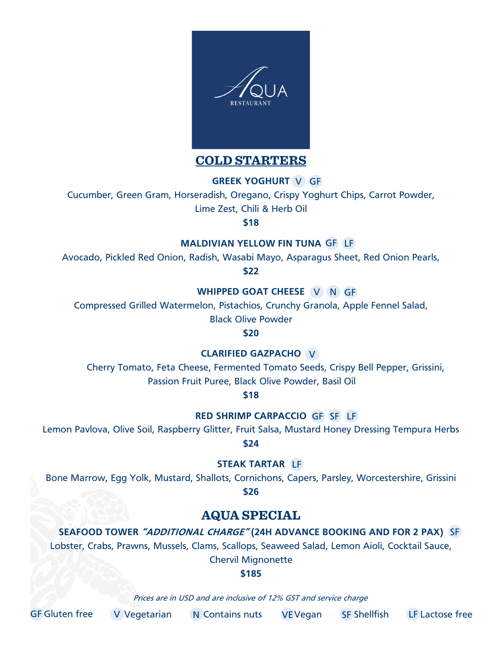

**COLD STARTERS**

**GREEK YOGHURT** V GF

Cucumber, Green Gram, Horseradish, Oregano, Crispy Yoghurt Chips, Carrot Powder,

Lime Zest, Chili & Herb Oil

**\$18**

#### **MALDIVIAN YELLOW FIN TUNA GF LF**

Avocado, Pickled Red Onion, Radish, Wasabi Mayo, Asparagus Sheet, Red Onion Pearls,

**\$22**

**WHIPPED GOAT CHEESE V N GF** 

Compressed Grilled Watermelon, Pistachios, Crunchy Granola, Apple Fennel Salad,

Black Olive Powder

**\$20**

**CLARIFIED GAZPACHO** V

Cherry Tomato, Feta Cheese, Fermented Tomato Seeds, Crispy Bell Pepper, Grissini, Passion Fruit Puree, Black Olive Powder, Basil Oil

**\$18**

RED SHRIMP CARPACCIO GF SF LF

Lemon Pavlova, Olive Soil, Raspberry Glitter, Fruit Salsa, Mustard Honey Dressing Tempura Herbs

**\$24**

**STEAK TARTAR** LF

Bone Marrow, Egg Yolk, Mustard, Shallots, Cornichons, Capers, Parsley, Worcestershire, Grissini **\$26**

# **AQUA SPECIAL**

**SEAFOOD TOWER "ADDITIONAL CHARGE" (24H ADVANCE BOOKING AND FOR 2 PAX)**  SF Lobster, Crabs, Prawns, Mussels, Clams, Scallops, Seaweed Salad, Lemon Aioli, Cocktail Sauce,

Chervil Mignonette

**\$185**

Prices are in USD and are inclusive of 12% GST and service charge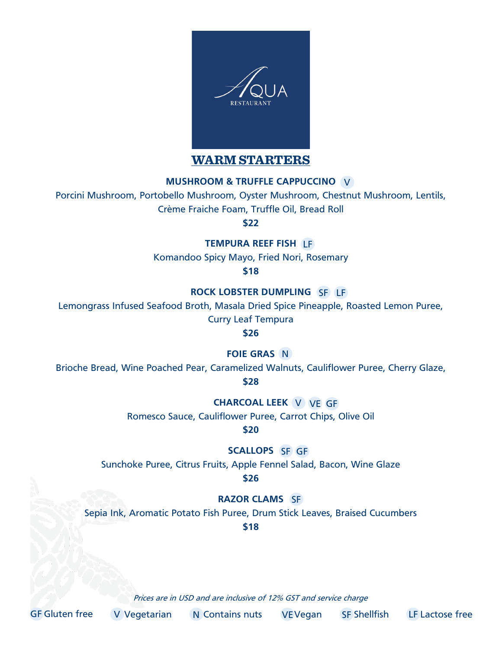

**WARM STARTERS**

## **MUSHROOM & TRUFFLE CAPPUCCINO**  V

Porcini Mushroom, Portobello Mushroom, Oyster Mushroom, Chestnut Mushroom, Lentils,

Crème Fraiche Foam, Truffle Oil, Bread Roll

**\$22**

**TEMPURA REEF FISH**  LF

Komandoo Spicy Mayo, Fried Nori, Rosemary

**\$18**

**ROCK LOBSTER DUMPLING**  SF LF

Lemongrass Infused Seafood Broth, Masala Dried Spice Pineapple, Roasted Lemon Puree,

Curry Leaf Tempura

**\$26**

**FOIE GRAS** N

Brioche Bread, Wine Poached Pear, Caramelized Walnuts, Cauliflower Puree, Cherry Glaze,

**\$28**

**CHARCOAL LEEK** V VE GF

Romesco Sauce, Cauliflower Puree, Carrot Chips, Olive Oil

**\$20**

**SCALLOPS** SF GF

Sunchoke Puree, Citrus Fruits, Apple Fennel Salad, Bacon, Wine Glaze **\$26**

## **RAZOR CLAMS** SF

Sepia Ink, Aromatic Potato Fish Puree, Drum Stick Leaves, Braised Cucumbers

**\$18**

Prices are in USD and are inclusive of 12% GST and service charge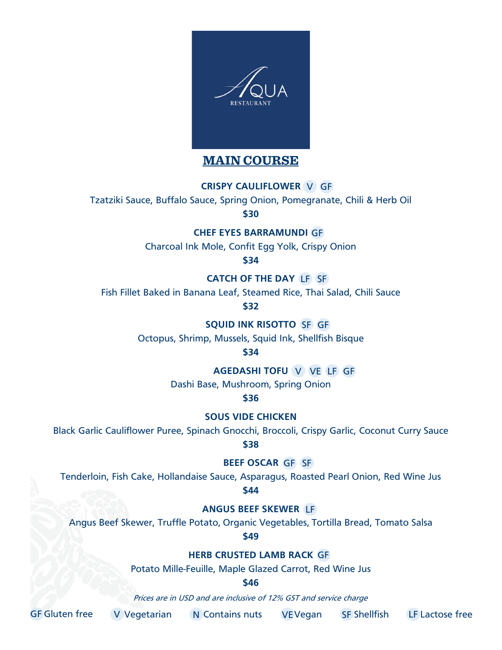

## **MAIN COURSE**

#### **CRISPY CAULIFLOWER** V GF

Tzatziki Sauce, Buffalo Sauce, Spring Onion, Pomegranate, Chili & Herb Oil

**\$30**

**CHEF EYES BARRAMUNDI** GF

Charcoal Ink Mole, Confit Egg Yolk, Crispy Onion

**\$34**

**CATCH OF THE DAY** LF SF

Fish Fillet Baked in Banana Leaf, Steamed Rice, Thai Salad, Chili Sauce

**\$32**

**SQUID INK RISOTTO SF GF** 

Octopus, Shrimp, Mussels, Squid Ink, Shellfish Bisque

**\$34**

**AGEDASHI TOFU** V VE LF GF

Dashi Base, Mushroom, Spring Onion

**\$36**

**SOUS VIDE CHICKEN** 

Black Garlic Cauliflower Puree, Spinach Gnocchi, Broccoli, Crispy Garlic, Coconut Curry Sauce

**\$38**

BEEF OSCAR GF SF

Tenderloin, Fish Cake, Hollandaise Sauce, Asparagus, Roasted Pearl Onion, Red Wine Jus **\$44**

**ANGUS BEEF SKEWER**  LF

Angus Beef Skewer, Truffle Potato, Organic Vegetables, Tortilla Bread, Tomato Salsa

**\$49**

**HERB CRUSTED LAMB RACK** GF

Potato Mille-Feuille, Maple Glazed Carrot, Red Wine Jus

**\$46**

Prices are in USD and are inclusive of 12% GST and service charge